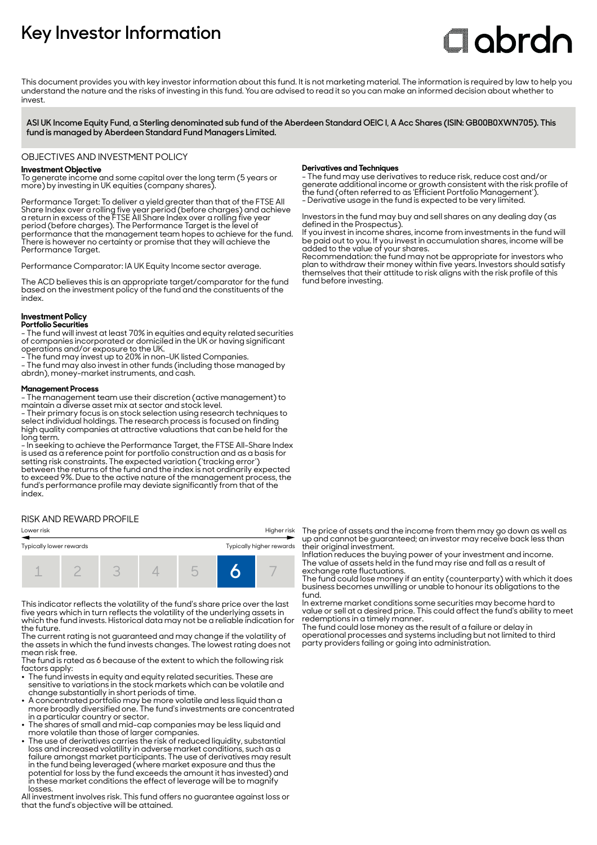# **Key Investor Information**

# **Clobrdo**

This document provides you with key investor information about this fund. It is not marketing material. The information is required by law to help you understand the nature and the risks of investing in this fund. You are advised to read it so you can make an informed decision about whether to invest

**ASI UK Income Equity Fund, a Sterling denominated sub fund of the Aberdeen Standard OEIC I, A Acc Shares (ISIN: GB00B0XWN705). This fund is managed by Aberdeen Standard Fund Managers Limited.**

## OBJECTIVES AND INVESTMENT POLICY

# **Investment Objective**

To generate income and some capital over the long term (5 years or more) by investing in UK equities (company shares).

Performance Target: To deliver a yield greater than that of the FTSE All Share Index over a rolling five year period (before charges) and achieve a return in excess of the FTSE All Share Index over a rolling five year period (before charges). The Performance Target is the level of performance that the management team hopes to achieve for the fund. There is however no certainty or promise that they will achieve the Performance Target.

Performance Comparator: IA UK Equity Income sector average.

The ACD believes this is an appropriate target/comparator for the fund based on the investment policy of the fund and the constituents of the index.

# **Investment Policy**

**Portfolio Securities** - The fund will invest at least 70% in equities and equity related securities of companies incorporated or domiciled in the UK or having significant operations and/or exposure to the UK.

- The fund may invest up to 20% in non-UK listed Companies.

- The fund may also invest in other funds (including those managed by abrdn), money-market instruments, and cash.

#### **Management Process**

- The management team use their discretion (active management) to maintain a diverse asset mix at sector and stock level.

- Their primary focus is on stock selection using research techniques to select individual holdings. The research process is focused on finding high quality companies at attractive valuations that can be held for the long term.

- In seeking to achieve the Performance Target, the FTSE All-Share Index is used as a reference point for portfolio construction and as a basis for setting risk constraints. The expected variation ('tracking error') between the returns of the fund and the index is not ordinarily expected to exceed 9%. Due to the active nature of the management process, the fund's performance profile may deviate significantly from that of the index.

# RISK AND REWARD PROFILE



This indicator reflects the volatility of the fund's share price over the last five years which in turn reflects the volatility of the underlying assets in which the fund invests. Historical data may not be a reliable indication for the future.

The current rating is not guaranteed and may change if the volatility of the assets in which the fund invests changes. The lowest rating does not mean risk free.

The fund is rated as 6 because of the extent to which the following risk factors apply: 2 The fund invests in equity and equity related securities. These are

- sensitive to variations in the stock markets which can be volatile and change substantially in short periods of time.
- A concentrated portfolio may be more volatile and less liquid than a more broadly diversified one. The fund's investments are concentrated
- in a particular country or sector. 2 The shares of small and mid-cap companies may be less liquid and
- more volatile than those of larger companies. 2 The use of derivatives carries the risk of reduced liquidity, substantial loss and increased volatility in adverse market conditions, such as a failure amongst market participants. The use of derivatives may result in the fund being leveraged (where market exposure and thus the potential for loss by the fund exceeds the amount it has invested) and in these market conditions the effect of leverage will be to magnify losses.

All investment involves risk. This fund offers no guarantee against loss or that the fund's objective will be attained.

#### **Derivatives and Techniques**

- The fund may use derivatives to reduce risk, reduce cost and/or generate additional income or growth consistent with the risk profile of the fund (often referred to as 'Efficient Portfolio Management'). - Derivative usage in the fund is expected to be very limited.

Investors in the fund may buy and sell shares on any dealing day (as defined in the Prospectus).

If you invest in income shares, income from investments in the fund will be paid out to you. If you invest in accumulation shares, income will be added to the value of your shares.

Recommendation: the fund may not be appropriate for investors who plan to withdraw their money within five years. Investors should satisfy themselves that their attitude to risk aligns with the risk profile of this fund before investing.

The price of assets and the income from them may go down as well as up and cannot be guaranteed; an investor may receive back less than their original investment.

Inflation reduces the buying power of your investment and income. The value of assets held in the fund may rise and fall as a result of exchange rate fluctuations.

The fund could lose money if an entity (counterparty) with which it does business becomes unwilling or unable to honour its obligations to the fund.

In extreme market conditions some securities may become hard to value or sell at a desired price. This could affect the fund's ability to meet redemptions in a timely manner.

The fund could lose money as the result of a failure or delay in operational processes and systems including but not limited to third party providers failing or going into administration.